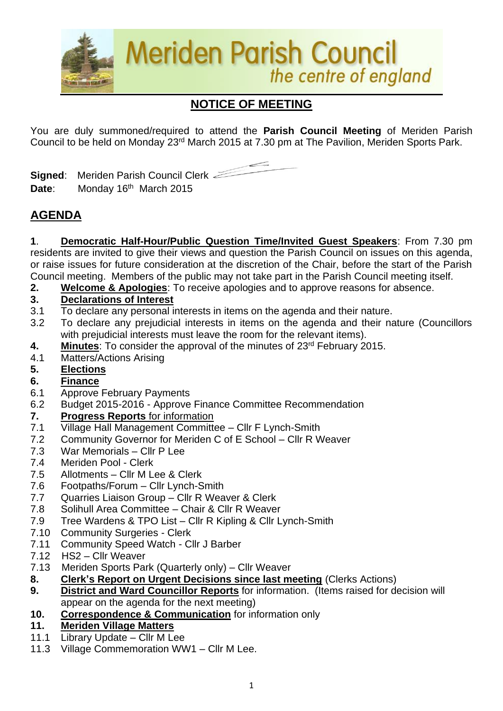

# **NOTICE OF MEETING**

You are duly summoned/required to attend the **Parish Council Meeting** of Meriden Parish Council to be held on Monday 23<sup>rd</sup> March 2015 at 7.30 pm at The Pavilion, Meriden Sports Park.

**Signed**: Meriden Parish Council Clerk Date: Monday 16<sup>th</sup> March 2015

## **AGENDA**

**1**. **Democratic Half-Hour/Public Question Time/Invited Guest Speakers**: From 7.30 pm residents are invited to give their views and question the Parish Council on issues on this agenda, or raise issues for future consideration at the discretion of the Chair, before the start of the Parish Council meeting. Members of the public may not take part in the Parish Council meeting itself.

**2. Welcome & Apologies**: To receive apologies and to approve reasons for absence.

## **3. Declarations of Interest**

- 3.1 To declare any personal interests in items on the agenda and their nature.
- 3.2 To declare any prejudicial interests in items on the agenda and their nature (Councillors with prejudicial interests must leave the room for the relevant items).
- 4. Minutes: To consider the approval of the minutes of 23<sup>rd</sup> February 2015.
- 4.1 Matters/Actions Arising
- **5. Elections**

### **6. Finance**

- 6.1 Approve February Payments
- 6.2 Budget 2015-2016 Approve Finance Committee Recommendation

### **7. Progress Reports** for information

- 7.1 Village Hall Management Committee Cllr F Lynch-Smith
- 7.2 Community Governor for Meriden C of E School Cllr R Weaver
- 7.3 War Memorials Cllr P Lee
- 7.4 Meriden Pool Clerk
- 7.5 Allotments Cllr M Lee & Clerk
- 7.6 Footpaths/Forum Cllr Lynch-Smith
- 7.7 Quarries Liaison Group Cllr R Weaver & Clerk
- 7.8 Solihull Area Committee Chair & Cllr R Weaver
- 7.9 Tree Wardens & TPO List Cllr R Kipling & Cllr Lynch-Smith
- 7.10 Community Surgeries Clerk
- 7.11 Community Speed Watch Cllr J Barber
- 7.12 HS2 Cllr Weaver
- 7.13Meriden Sports Park (Quarterly only) Cllr Weaver
- **8. Clerk's Report on Urgent Decisions since last meeting** (Clerks Actions)
- **9. District and Ward Councillor Reports** for information. (Items raised for decision will appear on the agenda for the next meeting)
- **10. Correspondence & Communication** for information only

### **11. Meriden Village Matters**

- 11.1 Library Update Cllr M Lee
- 11.3 Village Commemoration WW1 Cllr M Lee.